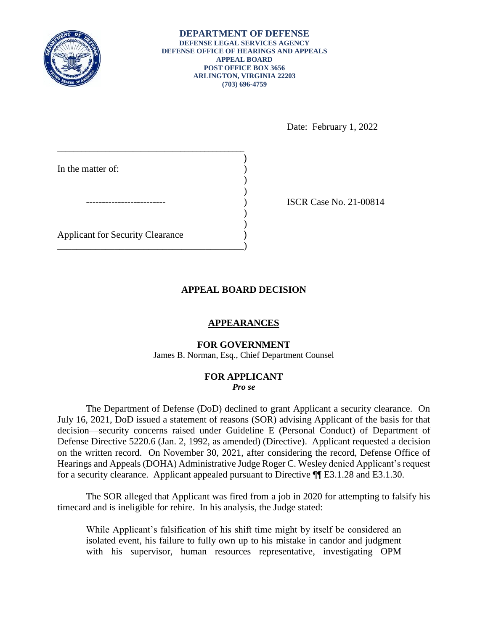

**DEPARTMENT OF DEFENSE DEFENSE LEGAL SERVICES AGENCY DEFENSE OFFICE OF HEARINGS AND APPEALS APPEAL BOARD POST OFFICE BOX 3656 ARLINGTON, VIRGINIA 22203 (703) 696-4759** 

Date: February 1, 2022

| In the matter of:                       |  |
|-----------------------------------------|--|
|                                         |  |
|                                         |  |
|                                         |  |
|                                         |  |
| <b>Applicant for Security Clearance</b> |  |
|                                         |  |

) ISCR Case No. 21-00814

# **APPEAL BOARD DECISION**

## **APPEARANCES**

### **FOR GOVERNMENT**

James B. Norman, Esq., Chief Department Counsel

#### **FOR APPLICANT**  *Pro se*

 The Department of Defense (DoD) declined to grant Applicant a security clearance. On July 16, 2021, DoD issued a statement of reasons (SOR) advising Applicant of the basis for that Defense Directive 5220.6 (Jan. 2, 1992, as amended) (Directive). Applicant requested a decision on the written record. On November 30, 2021, after considering the record, Defense Office of Hearings and Appeals (DOHA) Administrative Judge Roger C. Wesley denied Applicant's request decision—security concerns raised under Guideline E (Personal Conduct) of Department of for a security clearance. Applicant appealed pursuant to Directive ¶¶ E3.1.28 and E3.1.30.

 The SOR alleged that Applicant was fired from a job in 2020 for attempting to falsify his timecard and is ineligible for rehire. In his analysis, the Judge stated:

 While Applicant's falsification of his shift time might by itself be considered an isolated event, his failure to fully own up to his mistake in candor and judgment with his supervisor, human resources representative, investigating OPM